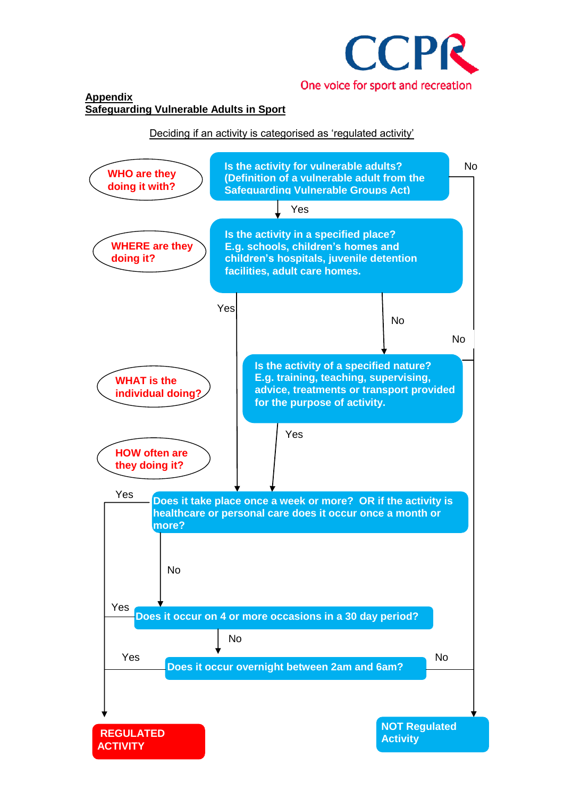

# Deciding if an activity is categorised as 'regulated activity'

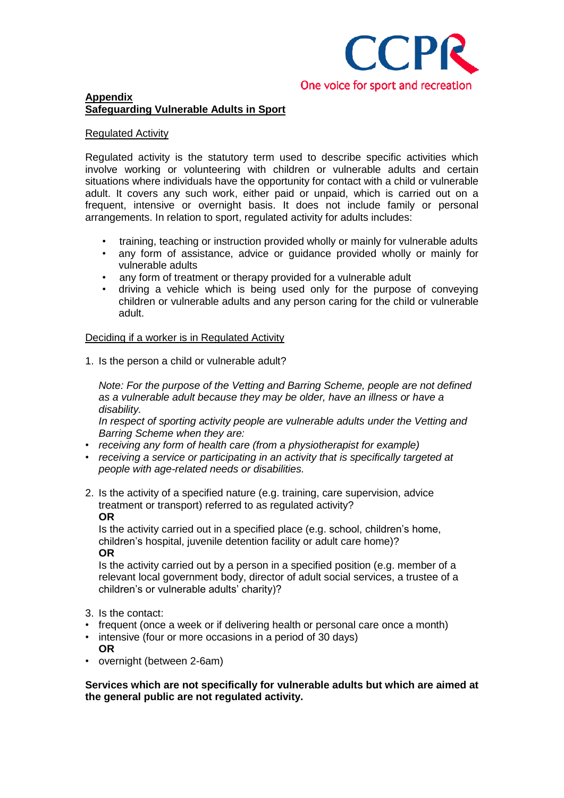

## Regulated Activity

Regulated activity is the statutory term used to describe specific activities which involve working or volunteering with children or vulnerable adults and certain situations where individuals have the opportunity for contact with a child or vulnerable adult. It covers any such work, either paid or unpaid, which is carried out on a frequent, intensive or overnight basis. It does not include family or personal arrangements. In relation to sport, regulated activity for adults includes:

- training, teaching or instruction provided wholly or mainly for vulnerable adults
- any form of assistance, advice or guidance provided wholly or mainly for vulnerable adults
- any form of treatment or therapy provided for a vulnerable adult
- driving a vehicle which is being used only for the purpose of conveying children or vulnerable adults and any person caring for the child or vulnerable adult.

## Deciding if a worker is in Regulated Activity

1. Is the person a child or vulnerable adult?

*Note: For the purpose of the Vetting and Barring Scheme, people are not defined as a vulnerable adult because they may be older, have an illness or have a disability.* 

*In respect of sporting activity people are vulnerable adults under the Vetting and Barring Scheme when they are:*

- *receiving any form of health care (from a physiotherapist for example)*
- *receiving a service or participating in an activity that is specifically targeted at people with age-related needs or disabilities.*
- 2. Is the activity of a specified nature (e.g. training, care supervision, advice treatment or transport) referred to as regulated activity? **OR**

Is the activity carried out in a specified place (e.g. school, children's home, children's hospital, juvenile detention facility or adult care home)? **OR**

Is the activity carried out by a person in a specified position (e.g. member of a relevant local government body, director of adult social services, a trustee of a children's or vulnerable adults' charity)?

- 3. Is the contact:
- frequent (once a week or if delivering health or personal care once a month)
- intensive (four or more occasions in a period of 30 days) **OR**
- overnight (between 2-6am)

**Services which are not specifically for vulnerable adults but which are aimed at the general public are not regulated activity.**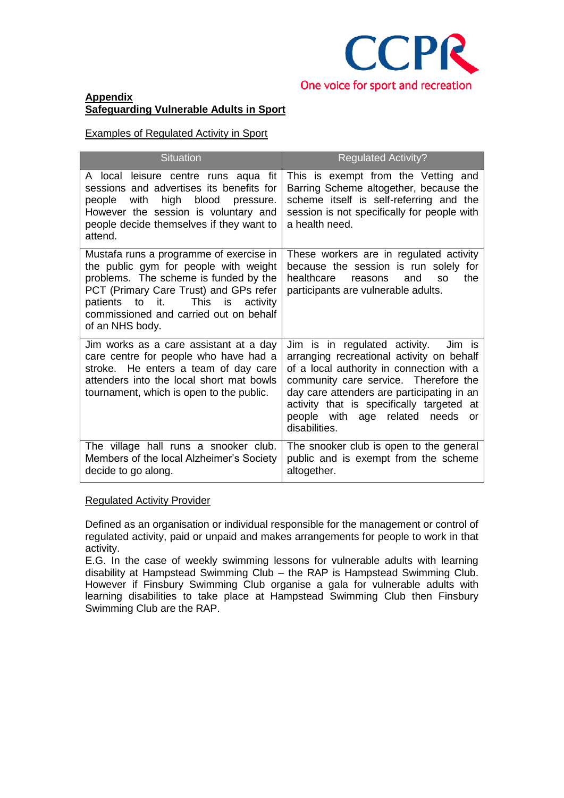

Examples of Regulated Activity in Sport

| <b>Situation</b>                                                                                                                                                                                                                                                                 | <b>Regulated Activity?</b>                                                                                                                                                                                                                                                                                                       |
|----------------------------------------------------------------------------------------------------------------------------------------------------------------------------------------------------------------------------------------------------------------------------------|----------------------------------------------------------------------------------------------------------------------------------------------------------------------------------------------------------------------------------------------------------------------------------------------------------------------------------|
| A local leisure centre runs aqua fit<br>sessions and advertises its benefits for<br>high<br>blood<br>with<br>people<br>pressure.<br>However the session is voluntary and<br>people decide themselves if they want to<br>attend.                                                  | This is exempt from the Vetting and<br>Barring Scheme altogether, because the<br>scheme itself is self-referring and the<br>session is not specifically for people with<br>a health need.                                                                                                                                        |
| Mustafa runs a programme of exercise in<br>the public gym for people with weight<br>problems. The scheme is funded by the<br>PCT (Primary Care Trust) and GPs refer<br>This<br>to it.<br>activity<br>patients<br>is<br>commissioned and carried out on behalf<br>of an NHS body. | These workers are in regulated activity<br>because the session is run solely for<br>healthcare<br>the<br>and<br>reasons<br>S <sub>O</sub><br>participants are vulnerable adults.                                                                                                                                                 |
| Jim works as a care assistant at a day<br>care centre for people who have had a<br>stroke. He enters a team of day care<br>attenders into the local short mat bowls<br>tournament, which is open to the public.                                                                  | Jim is in regulated activity.<br>Jim is<br>arranging recreational activity on behalf<br>of a local authority in connection with a<br>community care service. Therefore the<br>day care attenders are participating in an<br>activity that is specifically targeted at<br>people with age related<br>needs<br>or<br>disabilities. |
| The village hall runs a snooker club.<br>Members of the local Alzheimer's Society<br>decide to go along.                                                                                                                                                                         | The snooker club is open to the general<br>public and is exempt from the scheme<br>altogether.                                                                                                                                                                                                                                   |

### Regulated Activity Provider

Defined as an organisation or individual responsible for the management or control of regulated activity, paid or unpaid and makes arrangements for people to work in that activity.

E.G. In the case of weekly swimming lessons for vulnerable adults with learning disability at Hampstead Swimming Club – the RAP is Hampstead Swimming Club. However if Finsbury Swimming Club organise a gala for vulnerable adults with learning disabilities to take place at Hampstead Swimming Club then Finsbury Swimming Club are the RAP.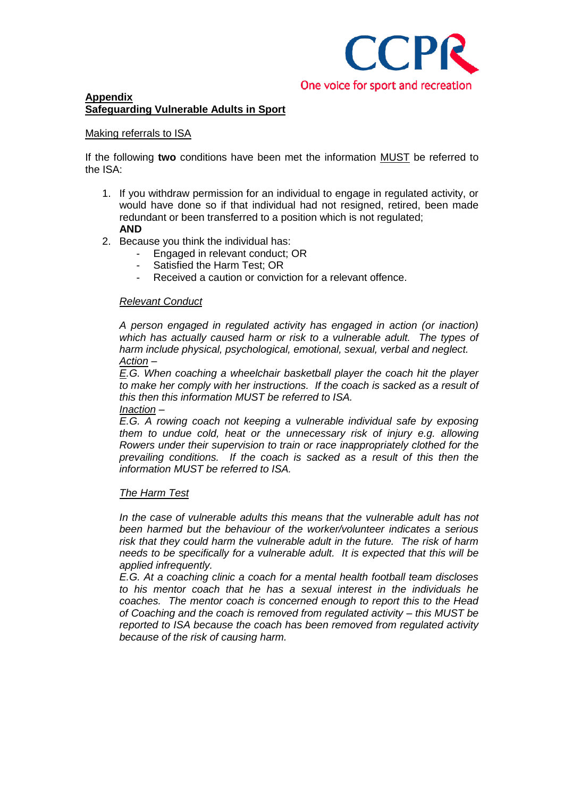

## Making referrals to ISA

If the following **two** conditions have been met the information MUST be referred to the ISA:

- 1. If you withdraw permission for an individual to engage in regulated activity, or would have done so if that individual had not resigned, retired, been made redundant or been transferred to a position which is not regulated; **AND**
- 2. Because you think the individual has:
	- Engaged in relevant conduct; OR
	- Satisfied the Harm Test: OR
	- Received a caution or conviction for a relevant offence.

### *Relevant Conduct*

*A person engaged in regulated activity has engaged in action (or inaction) which has actually caused harm or risk to a vulnerable adult. The types of harm include physical, psychological, emotional, sexual, verbal and neglect. Action –*

*E.G. When coaching a wheelchair basketball player the coach hit the player*  to make her comply with her instructions. If the coach is sacked as a result of *this then this information MUST be referred to ISA.*

### *Inaction –*

*E.G. A rowing coach not keeping a vulnerable individual safe by exposing them to undue cold, heat or the unnecessary risk of injury e.g. allowing Rowers under their supervision to train or race inappropriately clothed for the prevailing conditions. If the coach is sacked as a result of this then the information MUST be referred to ISA.*

### *The Harm Test*

*In the case of vulnerable adults this means that the vulnerable adult has not been harmed but the behaviour of the worker/volunteer indicates a serious risk that they could harm the vulnerable adult in the future. The risk of harm needs to be specifically for a vulnerable adult. It is expected that this will be applied infrequently.*

*E.G. At a coaching clinic a coach for a mental health football team discloses to his mentor coach that he has a sexual interest in the individuals he coaches. The mentor coach is concerned enough to report this to the Head of Coaching and the coach is removed from regulated activity – this MUST be reported to ISA because the coach has been removed from regulated activity because of the risk of causing harm.*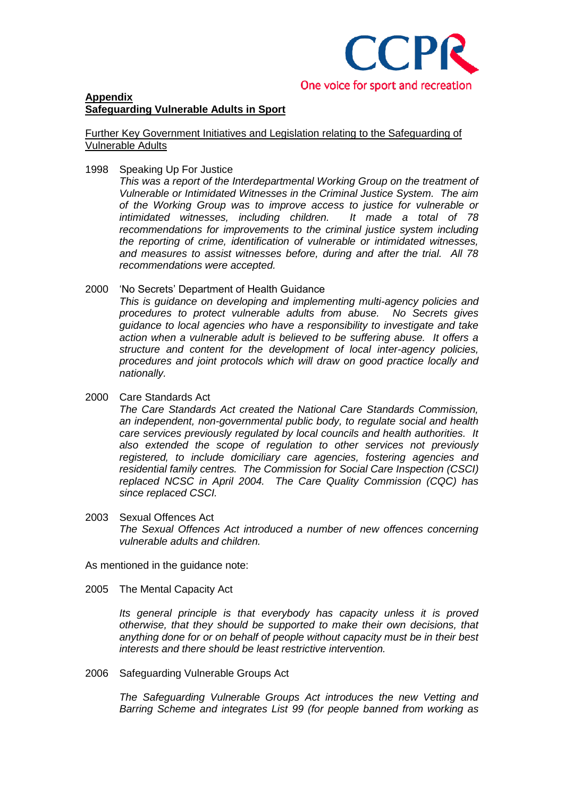

Further Key Government Initiatives and Legislation relating to the Safeguarding of Vulnerable Adults

1998 Speaking Up For Justice

*This was a report of the Interdepartmental Working Group on the treatment of Vulnerable or Intimidated Witnesses in the Criminal Justice System. The aim of the Working Group was to improve access to justice for vulnerable or intimidated witnesses, including children. recommendations for improvements to the criminal justice system including the reporting of crime, identification of vulnerable or intimidated witnesses, and measures to assist witnesses before, during and after the trial. All 78 recommendations were accepted.*

2000 'No Secrets' Department of Health Guidance

*This is guidance on developing and implementing multi-agency policies and procedures to protect vulnerable adults from abuse. No Secrets gives guidance to local agencies who have a responsibility to investigate and take action when a vulnerable adult is believed to be suffering abuse. It offers a structure and content for the development of local inter-agency policies, procedures and joint protocols which will draw on good practice locally and nationally.*

2000 Care Standards Act

*The Care Standards Act created the National Care Standards Commission, an independent, non-governmental public body, to regulate social and health care services previously regulated by local councils and health authorities. It also extended the scope of regulation to other services not previously registered, to include domiciliary care agencies, fostering agencies and residential family centres. The Commission for Social Care Inspection (CSCI) replaced NCSC in April 2004. The Care Quality Commission (CQC) has since replaced CSCI.*

2003 Sexual Offences Act *The Sexual Offences Act introduced a number of new offences concerning vulnerable adults and children.*

As mentioned in the guidance note:

2005 The Mental Capacity Act

*Its general principle is that everybody has capacity unless it is proved otherwise, that they should be supported to make their own decisions, that anything done for or on behalf of people without capacity must be in their best interests and there should be least restrictive intervention.*

2006 Safeguarding Vulnerable Groups Act

*The Safeguarding Vulnerable Groups Act introduces the new Vetting and Barring Scheme and integrates List 99 (for people banned from working as*